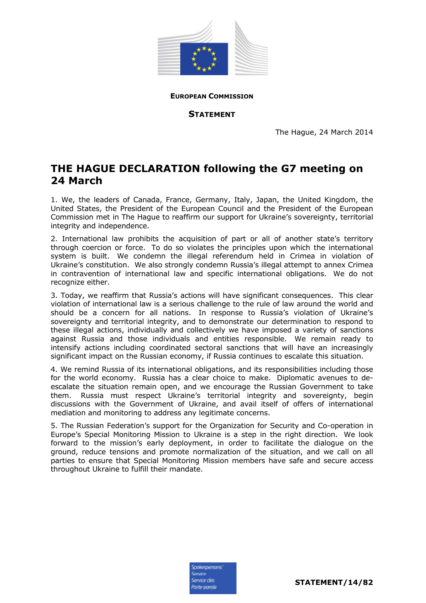

**EUROPEAN COMMISSION**

**STATEMENT**

The Hague, 24 March 2014

## **THE HAGUE DECLARATION following the G7 meeting on 24 March**

1. We, the leaders of Canada, France, Germany, Italy, Japan, the United Kingdom, the United States, the President of the European Council and the President of the European Commission met in The Hague to reaffirm our support for Ukraine's sovereignty, territorial integrity and independence.

2. International law prohibits the acquisition of part or all of another state's territory through coercion or force. To do so violates the principles upon which the international system is built. We condemn the illegal referendum held in Crimea in violation of Ukraine's constitution. We also strongly condemn Russia's illegal attempt to annex Crimea in contravention of international law and specific international obligations. We do not recognize either.

3. Today, we reaffirm that Russia's actions will have significant consequences. This clear violation of international law is a serious challenge to the rule of law around the world and should be a concern for all nations. In response to Russia's violation of Ukraine's sovereignty and territorial integrity, and to demonstrate our determination to respond to these illegal actions, individually and collectively we have imposed a variety of sanctions against Russia and those individuals and entities responsible. We remain ready to intensify actions including coordinated sectoral sanctions that will have an increasingly significant impact on the Russian economy, if Russia continues to escalate this situation.

4. We remind Russia of its international obligations, and its responsibilities including those for the world economy. Russia has a clear choice to make. Diplomatic avenues to deescalate the situation remain open, and we encourage the Russian Government to take them. Russia must respect Ukraine's territorial integrity and sovereignty, begin discussions with the Government of Ukraine, and avail itself of offers of international mediation and monitoring to address any legitimate concerns.

5. The Russian Federation's support for the Organization for Security and Co-operation in Europe's Special Monitoring Mission to Ukraine is a step in the right direction. We look forward to the mission's early deployment, in order to facilitate the dialogue on the ground, reduce tensions and promote normalization of the situation, and we call on all parties to ensure that Special Monitoring Mission members have safe and secure access throughout Ukraine to fulfill their mandate.